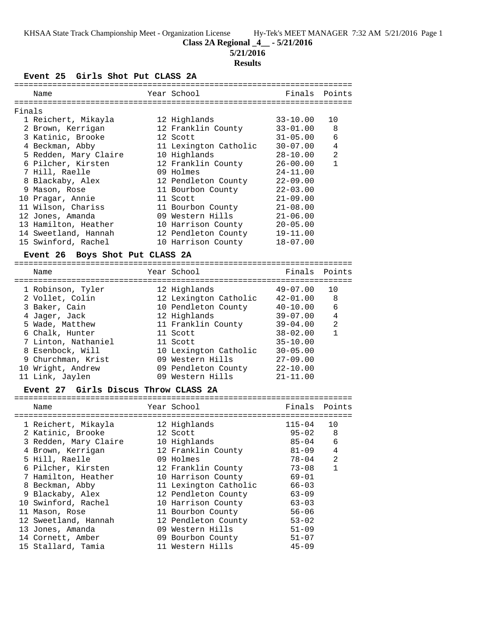**Class 2A Regional \_4\_\_ - 5/21/2016**

**5/21/2016**

# **Results**

**Event 25 Girls Shot Put CLASS 2A**

|        | Name                  | Year School           |              | Finals Points  |
|--------|-----------------------|-----------------------|--------------|----------------|
| Finals |                       |                       |              |                |
|        |                       |                       |              |                |
|        | 1 Reichert, Mikayla   | 12 Highlands          | 33-10.00     | 10             |
|        | 2 Brown, Kerrigan     | 12 Franklin County    | $33 - 01.00$ | 8              |
|        | 3 Katinic, Brooke     | 12 Scott              | $31 - 05.00$ | 6              |
|        | 4 Beckman, Abby       | 11 Lexington Catholic | $30 - 07.00$ | $\overline{4}$ |
|        | 5 Redden, Mary Claire | 10 Highlands          | $28 - 10.00$ | 2              |
|        | 6 Pilcher, Kirsten    | 12 Franklin County    | $26 - 00.00$ | $\mathbf{1}$   |
|        | 7 Hill, Raelle        | 09 Holmes             | $24 - 11.00$ |                |
|        | 8 Blackaby, Alex      | 12 Pendleton County   | $22 - 09.00$ |                |
|        | 9 Mason, Rose         | 11 Bourbon County     | $22 - 03.00$ |                |
|        | 10 Pragar, Annie      | 11 Scott              | $21 - 09.00$ |                |
|        | 11 Wilson, Chariss    | 11 Bourbon County     | $21 - 08.00$ |                |
|        | 12 Jones, Amanda      | 09 Western Hills      | $21 - 06.00$ |                |
|        | 13 Hamilton, Heather  | 10 Harrison County    | $20 - 05.00$ |                |
|        | 14 Sweetland, Hannah  | 12 Pendleton County   | $19 - 11.00$ |                |
|        | 15 Swinford, Rachel   | 10 Harrison County    | $18 - 07.00$ |                |
|        |                       |                       |              |                |

# **Event 26 Boys Shot Put CLASS 2A**

| Name                | Year School           | Finals Points |                |
|---------------------|-----------------------|---------------|----------------|
| 1 Robinson, Tyler   | 12 Highlands          | 49-07.00      | 10             |
| 2 Vollet, Colin     | 12 Lexington Catholic | $42 - 01.00$  | 8              |
| 3 Baker, Cain       | 10 Pendleton County   | $40 - 10.00$  | 6              |
| 4 Jager, Jack       | 12 Highlands          | $39 - 07.00$  | $\overline{4}$ |
| 5 Wade, Matthew     | 11 Franklin County    | $39 - 04.00$  | $\mathfrak{D}$ |
| 6 Chalk, Hunter     | 11 Scott              | $38 - 02.00$  |                |
| 7 Linton, Nathaniel | 11 Scott              | $35 - 10.00$  |                |
| 8 Esenbock, Will    | 10 Lexington Catholic | $30 - 05.00$  |                |
| 9 Churchman, Krist  | 09 Western Hills      | $27 - 09.00$  |                |
| 10 Wright, Andrew   | 09 Pendleton County   | $22 - 10.00$  |                |
| 11 Link, Jaylen     | 09 Western Hills      | $21 - 11.00$  |                |

# **Event 27 Girls Discus Throw CLASS 2A**

| Name                  | Year School           | Finals Points |              |
|-----------------------|-----------------------|---------------|--------------|
| 1 Reichert, Mikayla   | 12 Highlands          | $115 - 04$    | 10           |
| 2 Katinic, Brooke     | 12 Scott              | $95 - 02$     | 8            |
| 3 Redden, Mary Claire | 10 Highlands          | 85-04         | 6            |
| 4 Brown, Kerrigan     | 12 Franklin County    | $81 - 09$     | 4            |
| 5 Hill, Raelle        | 09 Holmes             | 78-04         | 2            |
| 6 Pilcher, Kirsten    | 12 Franklin County    | 73-08         | $\mathbf{1}$ |
| 7 Hamilton, Heather   | 10 Harrison County    | $69 - 01$     |              |
| 8 Beckman, Abby       | 11 Lexington Catholic | $66 - 03$     |              |
| 9 Blackaby, Alex      | 12 Pendleton County   | $63 - 09$     |              |
| 10 Swinford, Rachel   | 10 Harrison County    | $63 - 03$     |              |
| 11 Mason, Rose        | 11 Bourbon County     | $56 - 06$     |              |
| 12 Sweetland, Hannah  | 12 Pendleton County   | $53 - 02$     |              |
| 13 Jones, Amanda      | 09 Western Hills      | $51 - 09$     |              |
| 14 Cornett, Amber     | 09 Bourbon County     | $51 - 07$     |              |
| 15 Stallard, Tamia    | 11 Western Hills      | $45 - 09$     |              |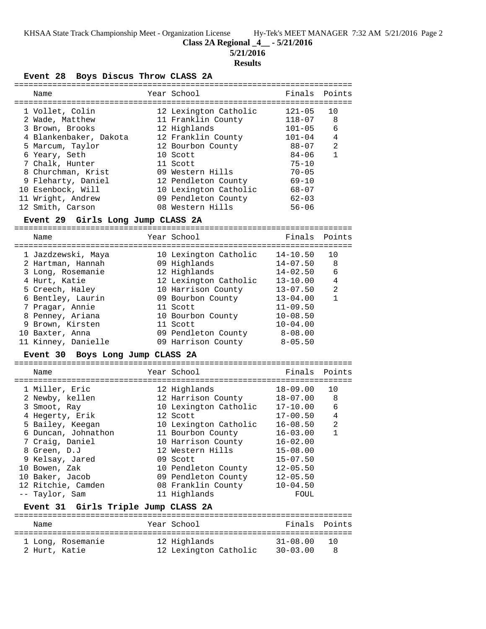**Class 2A Regional \_4\_\_ - 5/21/2016**

**5/21/2016**

### **Results**

**Event 28 Boys Discus Throw CLASS 2A**

|  | Name                   | Year School           | Finals Points |              |
|--|------------------------|-----------------------|---------------|--------------|
|  | 1 Vollet, Colin        | 12 Lexington Catholic | $121 - 05$    | 10           |
|  | 2 Wade, Matthew        | 11 Franklin County    | $118 - 07$    | 8            |
|  | 3 Brown, Brooks        | 12 Highlands          | $101 - 05$    | 6            |
|  | 4 Blankenbaker, Dakota | 12 Franklin County    | $101 - 04$    | 4            |
|  | 5 Marcum, Taylor       | 12 Bourbon County     | 88-07         | 2            |
|  | 6 Yeary, Seth          | 10 Scott              | $84 - 06$     | $\mathbf{1}$ |
|  | 7 Chalk, Hunter        | 11 Scott              | $75 - 10$     |              |
|  | 8 Churchman, Krist     | 09 Western Hills      | $70 - 05$     |              |
|  | 9 Fleharty, Daniel     | 12 Pendleton County   | $69 - 10$     |              |
|  | 10 Esenbock, Will      | 10 Lexington Catholic | 68-07         |              |
|  | 11 Wright, Andrew      | 09 Pendleton County   | $62 - 03$     |              |
|  | 12 Smith, Carson       | 08 Western Hills      | $56 - 06$     |              |
|  |                        |                       |               |              |

#### **Event 29 Girls Long Jump CLASS 2A**

=======================================================================

| Name                                                                                                                                     | Year School                                                                                                                           | Finals                                                                                                   | Points                 |
|------------------------------------------------------------------------------------------------------------------------------------------|---------------------------------------------------------------------------------------------------------------------------------------|----------------------------------------------------------------------------------------------------------|------------------------|
| 1 Jazdzewski, Maya<br>2 Hartman, Hannah<br>3 Long, Rosemanie<br>4 Hurt, Katie<br>5 Creech, Haley<br>6 Bentley, Laurin<br>7 Pragar, Annie | 10 Lexington Catholic<br>09 Highlands<br>12 Highlands<br>12 Lexington Catholic<br>10 Harrison County<br>09 Bourbon County<br>11 Scott | $14 - 10.50$<br>14-07.50<br>$14 - 02.50$<br>$13 - 10.00$<br>$13 - 07.50$<br>$13 - 04.00$<br>$11 - 09.50$ | 10<br>8<br>6<br>4<br>2 |
| 8 Penney, Ariana<br>9 Brown, Kirsten<br>10 Baxter, Anna<br>11 Kinney, Danielle                                                           | 10 Bourbon County<br>11 Scott<br>09 Pendleton County<br>09 Harrison County                                                            | $10 - 08.50$<br>$10 - 04.00$<br>$8 - 08.00$<br>$8 - 05.50$                                               |                        |

### **Event 30 Boys Long Jump CLASS 2A**

=======================================================================

| Name |                                                                                                                                                                                                                                                   | Finals                                                                                                                                                                                                                                                                         | Points       |
|------|---------------------------------------------------------------------------------------------------------------------------------------------------------------------------------------------------------------------------------------------------|--------------------------------------------------------------------------------------------------------------------------------------------------------------------------------------------------------------------------------------------------------------------------------|--------------|
|      |                                                                                                                                                                                                                                                   | 18-09.00                                                                                                                                                                                                                                                                       | 10           |
|      |                                                                                                                                                                                                                                                   | 18-07.00                                                                                                                                                                                                                                                                       | -8           |
|      |                                                                                                                                                                                                                                                   | 17-10.00                                                                                                                                                                                                                                                                       | 6            |
|      |                                                                                                                                                                                                                                                   | $17 - 00.50$                                                                                                                                                                                                                                                                   | 4            |
|      |                                                                                                                                                                                                                                                   | $16 - 08.50$                                                                                                                                                                                                                                                                   | 2            |
|      |                                                                                                                                                                                                                                                   | $16 - 03.00$                                                                                                                                                                                                                                                                   | $\mathbf{1}$ |
|      |                                                                                                                                                                                                                                                   | $16 - 02.00$                                                                                                                                                                                                                                                                   |              |
|      |                                                                                                                                                                                                                                                   | $15 - 08.00$                                                                                                                                                                                                                                                                   |              |
|      |                                                                                                                                                                                                                                                   | $15 - 07.50$                                                                                                                                                                                                                                                                   |              |
|      |                                                                                                                                                                                                                                                   | $12 - 05.50$                                                                                                                                                                                                                                                                   |              |
|      |                                                                                                                                                                                                                                                   | $12 - 05.50$                                                                                                                                                                                                                                                                   |              |
|      |                                                                                                                                                                                                                                                   | $10 - 04.50$                                                                                                                                                                                                                                                                   |              |
|      |                                                                                                                                                                                                                                                   | FOUL                                                                                                                                                                                                                                                                           |              |
|      | 1 Miller, Eric<br>2 Newby, kellen<br>3 Smoot, Ray<br>4 Hegerty, Erik<br>5 Bailey, Keegan<br>6 Duncan, Johnathon<br>7 Craig, Daniel<br>8 Green, D.J<br>9 Kelsay, Jared<br>10 Bowen, Zak<br>10 Baker, Jacob<br>12 Ritchie, Camden<br>-- Taylor, Sam | Year School<br>12 Highlands<br>12 Harrison County<br>10 Lexington Catholic<br>12 Scott<br>10 Lexington Catholic<br>11 Bourbon County<br>10 Harrison County<br>12 Western Hills<br>09 Scott<br>10 Pendleton County<br>09 Pendleton County<br>08 Franklin County<br>11 Highlands |              |

# **Event 31 Girls Triple Jump CLASS 2A**

| Name          |                   | Year School           | Finals Points |       |
|---------------|-------------------|-----------------------|---------------|-------|
|               | 1 Long, Rosemanie | 12 Highlands          | $31 - 08.00$  | ່ 1 ດ |
| 2 Hurt, Katie |                   | 12 Lexington Catholic | $30 - 03.00$  |       |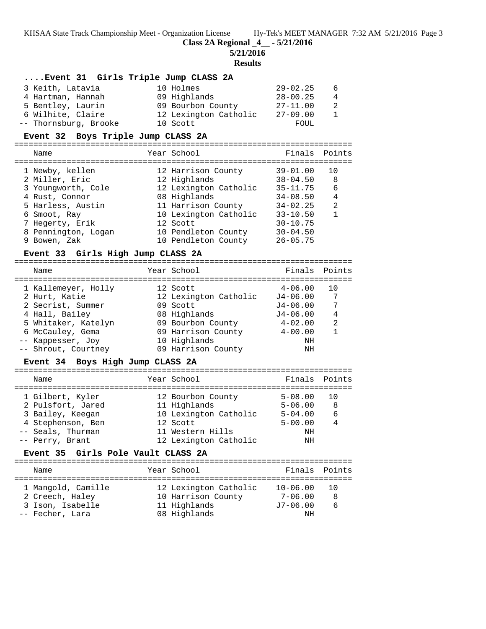**Class 2A Regional \_4\_\_ - 5/21/2016**

**5/21/2016**

#### **Results**

# **....Event 31 Girls Triple Jump CLASS 2A**

| 3 Keith, Latavia      | 10 Holmes             | $29 - 02.25$ | - 6            |
|-----------------------|-----------------------|--------------|----------------|
| 4 Hartman, Hannah     | 09 Highlands          | $28 - 00.25$ | $\overline{4}$ |
| 5 Bentley, Laurin     | 09 Bourbon County     | $27 - 11.00$ | - 2            |
| 6 Wilhite, Claire     | 12 Lexington Catholic | $27 - 09.00$ | $\overline{1}$ |
| -- Thornsburg, Brooke | 10 Scott              | FOUL         |                |

### **Event 32 Boys Triple Jump CLASS 2A**

=======================================================================

| Name                | Year School           | Finals       | Points |
|---------------------|-----------------------|--------------|--------|
| 1 Newby, kellen     | 12 Harrison County    | $39 - 01.00$ | 10     |
| 2 Miller, Eric      | 12 Highlands          | $38 - 04.50$ | 8      |
| 3 Youngworth, Cole  | 12 Lexington Catholic | $35 - 11.75$ | 6      |
| 4 Rust, Connor      | 08 Highlands          | $34 - 08.50$ | 4      |
| 5 Harless, Austin   | 11 Harrison County    | $34 - 02.25$ | 2      |
| 6 Smoot, Ray        | 10 Lexington Catholic | $33 - 10.50$ | 1      |
| 7 Hegerty, Erik     | 12 Scott              | $30 - 10.75$ |        |
| 8 Pennington, Logan | 10 Pendleton County   | $30 - 04.50$ |        |
| 9 Bowen, Zak        | 10 Pendleton County   | $26 - 05.75$ |        |

## **Event 33 Girls High Jump CLASS 2A**

======================================================================= Name Year School Finals Points =======================================================================

| 1 Kallemeyer, Holly | 12 Scott              | $4 - 06.00$  | 10             |
|---------------------|-----------------------|--------------|----------------|
| 2 Hurt, Katie       | 12 Lexington Catholic | $J4 - 06.00$ | 7              |
| 2 Secrist, Summer   | 09 Scott              | $J4 - 06.00$ | 7              |
| 4 Hall, Bailey      | 08 Highlands          | $J4 - 06.00$ | $\overline{4}$ |
| 5 Whitaker, Katelyn | 09 Bourbon County     | $4 - 02.00$  | $\mathfrak{D}$ |
| 6 McCauley, Gema    | 09 Harrison County    | $4 - 00.00$  |                |
| -- Kappesser, Joy   | 10 Highlands          | NΗ           |                |
| -- Shrout, Courtney | 09 Harrison County    | ΝH           |                |
|                     |                       |              |                |

## **Event 34 Boys High Jump CLASS 2A**

| Name              | Year School           | Finals Points |                |
|-------------------|-----------------------|---------------|----------------|
| 1 Gilbert, Kyler  | 12 Bourbon County     | $5 - 08.00$   | ີ 1 ດ          |
| 2 Pulsfort, Jared | 11 Highlands          | $5 - 06.00$   | -8             |
| 3 Bailey, Keegan  | 10 Lexington Catholic | $5 - 04.00$   | 6              |
| 4 Stephenson, Ben | 12 Scott              | $5 - 00.00$   | $\overline{4}$ |
| -- Seals, Thurman | 11 Western Hills      | ΝH            |                |
| -- Perry, Brant   | 12 Lexington Catholic | ΝH            |                |

### **Event 35 Girls Pole Vault CLASS 2A**

| Name                                                                         | Year School                                                                 | Finals Points                                   |                  |
|------------------------------------------------------------------------------|-----------------------------------------------------------------------------|-------------------------------------------------|------------------|
| 1 Mangold, Camille<br>2 Creech, Haley<br>3 Ison, Isabelle<br>-- Fecher, Lara | 12 Lexington Catholic<br>10 Harrison County<br>11 Highlands<br>08 Highlands | $10 - 06.00$<br>$7 - 06.00$<br>$J7-06.00$<br>ΝH | - 1 O<br>8<br>-6 |